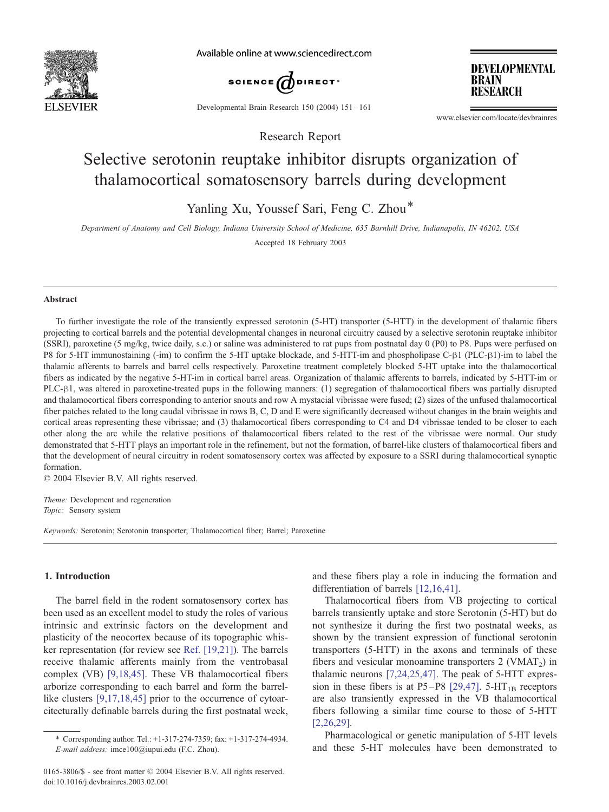

Available online at www.sciencedirect.com



**DEVELOPMENTAL BRAIN RESEARCH** 

Developmental Brain Research 150 (2004) 151 – 161

www.elsevier.com/locate/devbrainres

# Selective serotonin reuptake inhibitor disrupts organization of thalamocortical somatosensory barrels during development

Research Report

Yanling Xu, Youssef Sari, Feng C. Zhou\*

Department of Anatomy and Cell Biology, Indiana University School of Medicine, 635 Barnhill Drive, Indianapolis, IN 46202, USA Accepted 18 February 2003

#### Abstract

To further investigate the role of the transiently expressed serotonin (5-HT) transporter (5-HTT) in the development of thalamic fibers projecting to cortical barrels and the potential developmental changes in neuronal circuitry caused by a selective serotonin reuptake inhibitor (SSRI), paroxetine (5 mg/kg, twice daily, s.c.) or saline was administered to rat pups from postnatal day 0 (P0) to P8. Pups were perfused on P8 for 5-HT immunostaining (-im) to confirm the 5-HT uptake blockade, and 5-HTT-im and phospholipase C- $\beta$ 1 (PLC- $\beta$ 1)-im to label the thalamic afferents to barrels and barrel cells respectively. Paroxetine treatment completely blocked 5-HT uptake into the thalamocortical fibers as indicated by the negative 5-HT-im in cortical barrel areas. Organization of thalamic afferents to barrels, indicated by 5-HTT-im or PLC- $\beta$ 1, was altered in paroxetine-treated pups in the following manners: (1) segregation of thalamocortical fibers was partially disrupted and thalamocortical fibers corresponding to anterior snouts and row A mystacial vibrissae were fused; (2) sizes of the unfused thalamocortical fiber patches related to the long caudal vibrissae in rows B, C, D and E were significantly decreased without changes in the brain weights and cortical areas representing these vibrissae; and (3) thalamocortical fibers corresponding to C4 and D4 vibrissae tended to be closer to each other along the arc while the relative positions of thalamocortical fibers related to the rest of the vibrissae were normal. Our study demonstrated that 5-HTT plays an important role in the refinement, but not the formation, of barrel-like clusters of thalamocortical fibers and that the development of neural circuitry in rodent somatosensory cortex was affected by exposure to a SSRI during thalamocortical synaptic formation.

 $© 2004 Elsevier B.V. All rights reserved.$ 

Theme: Development and regeneration Topic: Sensory system

Keywords: Serotonin; Serotonin transporter; Thalamocortical fiber; Barrel; Paroxetine

# 1. Introduction

The barrel field in the rodent somatosensory cortex has been used as an excellent model to study the roles of various intrinsic and extrinsic factors on the development and plasticity of the neocortex because of its topographic whisker representation (for review see [Ref. \[19,21\]\)](#page-9-0). The barrels receive thalamic afferents mainly from the ventrobasal complex (VB) [\[9,18,45\].](#page-9-0) These VB thalamocortical fibers arborize corresponding to each barrel and form the barrel-like clusters [\[9,17,18,45\]](#page-9-0) prior to the occurrence of cytoarcitecturally definable barrels during the first postnatal week,

and these fibers play a role in inducing the formation and differentiation of barrels [\[12,16,41\].](#page-9-0)

Thalamocortical fibers from VB projecting to cortical barrels transiently uptake and store Serotonin (5-HT) but do not synthesize it during the first two postnatal weeks, as shown by the transient expression of functional serotonin transporters (5-HTT) in the axons and terminals of these fibers and vesicular monoamine transporters  $2$  (VMAT<sub>2</sub>) in thalamic neurons [\[7,24,25,47\].](#page-9-0) The peak of 5-HTT expres-sion in these fibers is at P5-P8 [\[29,47\].](#page-9-0)  $5-HT_{1B}$  receptors are also transiently expressed in the VB thalamocortical fibers following a similar time course to those of 5-HTT [\[2,26,29\].](#page-8-0)

Pharmacological or genetic manipulation of 5-HT levels and these 5-HT molecules have been demonstrated to

<sup>\*</sup> Corresponding author. Tel.: +1-317-274-7359; fax: +1-317-274-4934. E-mail address: imce100@iupui.edu (F.C. Zhou).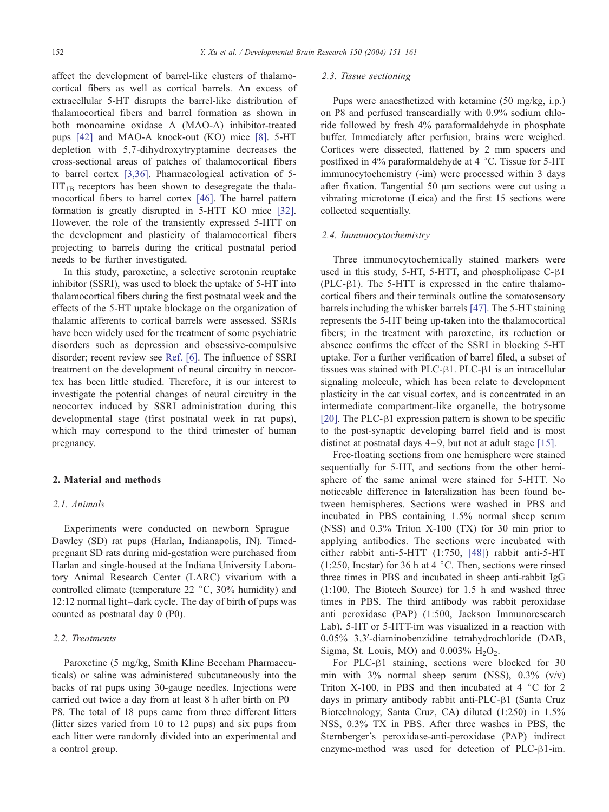affect the development of barrel-like clusters of thalamocortical fibers as well as cortical barrels. An excess of extracellular 5-HT disrupts the barrel-like distribution of thalamocortical fibers and barrel formation as shown in both monoamine oxidase A (MAO-A) inhibitor-treated pups [\[42\]](#page-9-0) and MAO-A knock-out (KO) mice [\[8\].](#page-9-0) 5-HT depletion with 5,7-dihydroxytryptamine decreases the cross-sectional areas of patches of thalamocortical fibers to barrel cortex [\[3,36\].](#page-8-0) Pharmacological activation of 5-  $HT_{1B}$  receptors has been shown to desegregate the thalamocortical fibers to barrel cortex [\[46\].](#page-10-0) The barrel pattern formation is greatly disrupted in 5-HTT KO mice [\[32\].](#page-9-0) However, the role of the transiently expressed 5-HTT on the development and plasticity of thalamocortical fibers projecting to barrels during the critical postnatal period needs to be further investigated.

In this study, paroxetine, a selective serotonin reuptake inhibitor (SSRI), was used to block the uptake of 5-HT into thalamocortical fibers during the first postnatal week and the effects of the 5-HT uptake blockage on the organization of thalamic afferents to cortical barrels were assessed. SSRIs have been widely used for the treatment of some psychiatric disorders such as depression and obsessive-compulsive disorder; recent review see [Ref. \[6\].](#page-9-0) The influence of SSRI treatment on the development of neural circuitry in neocortex has been little studied. Therefore, it is our interest to investigate the potential changes of neural circuitry in the neocortex induced by SSRI administration during this developmental stage (first postnatal week in rat pups), which may correspond to the third trimester of human pregnancy.

#### 2. Material and methods

## 2.1. Animals

Experiments were conducted on newborn Sprague – Dawley (SD) rat pups (Harlan, Indianapolis, IN). Timedpregnant SD rats during mid-gestation were purchased from Harlan and single-housed at the Indiana University Laboratory Animal Research Center (LARC) vivarium with a controlled climate (temperature  $22 \text{ °C}$ ,  $30\%$  humidity) and 12:12 normal light– dark cycle. The day of birth of pups was counted as postnatal day 0 (P0).

# 2.2. Treatments

Paroxetine (5 mg/kg, Smith Kline Beecham Pharmaceuticals) or saline was administered subcutaneously into the backs of rat pups using 30-gauge needles. Injections were carried out twice a day from at least 8 h after birth on P0– P8. The total of 18 pups came from three different litters (litter sizes varied from 10 to 12 pups) and six pups from each litter were randomly divided into an experimental and a control group.

#### 2.3. Tissue sectioning

Pups were anaesthetized with ketamine (50 mg/kg, i.p.) on P8 and perfused transcardially with 0.9% sodium chloride followed by fresh 4% paraformaldehyde in phosphate buffer. Immediately after perfusion, brains were weighed. Cortices were dissected, flattened by 2 mm spacers and postfixed in 4% paraformaldehyde at 4  $\degree$ C. Tissue for 5-HT immunocytochemistry (-im) were processed within 3 days after fixation. Tangential 50  $\mu$ m sections were cut using a vibrating microtome (Leica) and the first 15 sections were collected sequentially.

## 2.4. Immunocytochemistry

Three immunocytochemically stained markers were used in this study,  $5-HT$ ,  $5-HTT$ , and phospholipase  $C-<sub>1</sub>1$  $(PLC- $\beta$ 1)$ . The 5-HTT is expressed in the entire thalamocortical fibers and their terminals outline the somatosensory barrels including the whisker barrels [\[47\].](#page-10-0) The 5-HT staining represents the 5-HT being up-taken into the thalamocortical fibers; in the treatment with paroxetine, its reduction or absence confirms the effect of the SSRI in blocking 5-HT uptake. For a further verification of barrel filed, a subset of tissues was stained with PLC- $\beta$ 1. PLC- $\beta$ 1 is an intracellular signaling molecule, which has been relate to development plasticity in the cat visual cortex, and is concentrated in an intermediate compartment-like organelle, the botrysome [\[20\].](#page-9-0) The PLC- $\beta$ 1 expression pattern is shown to be specific to the post-synaptic developing barrel field and is most distinct at postnatal days  $4-9$ , but not at adult stage [\[15\].](#page-9-0)

Free-floating sections from one hemisphere were stained sequentially for 5-HT, and sections from the other hemisphere of the same animal were stained for 5-HTT. No noticeable difference in lateralization has been found between hemispheres. Sections were washed in PBS and incubated in PBS containing 1.5% normal sheep serum (NSS) and 0.3% Triton X-100 (TX) for 30 min prior to applying antibodies. The sections were incubated with either rabbit anti-5-HTT (1:750, [\[48\]\)](#page-10-0) rabbit anti-5-HT (1:250, Incstar) for 36 h at 4  $\degree$ C. Then, sections were rinsed three times in PBS and incubated in sheep anti-rabbit IgG (1:100, The Biotech Source) for 1.5 h and washed three times in PBS. The third antibody was rabbit peroxidase anti peroxidase (PAP) (1:500, Jackson Immunoresearch Lab). 5-HT or 5-HTT-im was visualized in a reaction with 0.05% 3,3'-diaminobenzidine tetrahydrochloride (DAB, Sigma, St. Louis, MO) and  $0.003\%$  H<sub>2</sub>O<sub>2</sub>.

For PLC- $\beta$ 1 staining, sections were blocked for 30 min with  $3\%$  normal sheep serum (NSS),  $0.3\%$  (v/v) Triton X-100, in PBS and then incubated at  $4 \degree$ C for 2 days in primary antibody rabbit anti- $PLC$ - $\beta$ 1 (Santa Cruz Biotechnology, Santa Cruz, CA) diluted (1:250) in 1.5% NSS, 0.3% TX in PBS. After three washes in PBS, the Sternberger's peroxidase-anti-peroxidase (PAP) indirect enzyme-method was used for detection of PLC- $\beta$ 1-im.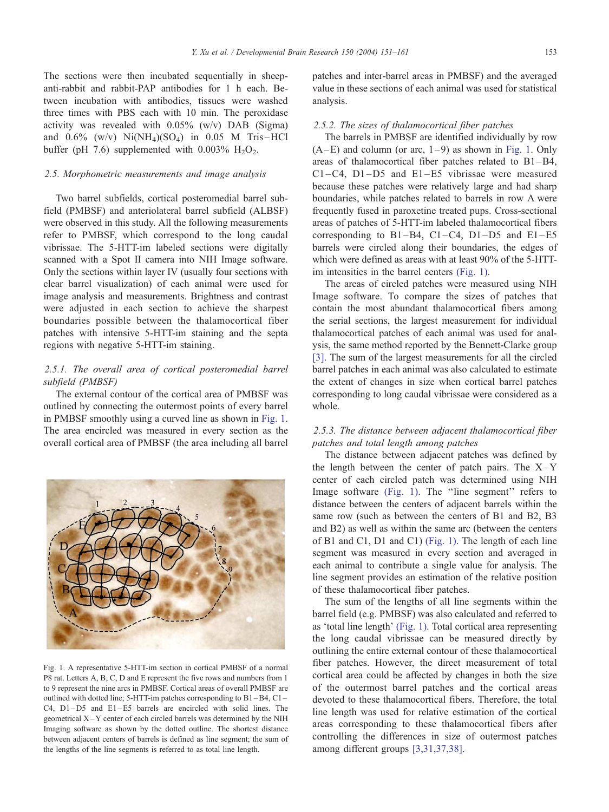The sections were then incubated sequentially in sheepanti-rabbit and rabbit-PAP antibodies for 1 h each. Between incubation with antibodies, tissues were washed three times with PBS each with 10 min. The peroxidase activity was revealed with 0.05% (w/v) DAB (Sigma) and  $0.6\%$  (w/v)  $Ni(NH_4)(SO_4)$  in 0.05 M Tris-HCl buffer (pH 7.6) supplemented with  $0.003\%$  H<sub>2</sub>O<sub>2</sub>.

# 2.5. Morphometric measurements and image analysis

Two barrel subfields, cortical posteromedial barrel subfield (PMBSF) and anteriolateral barrel subfield (ALBSF) were observed in this study. All the following measurements refer to PMBSF, which correspond to the long caudal vibrissae. The 5-HTT-im labeled sections were digitally scanned with a Spot II camera into NIH Image software. Only the sections within layer IV (usually four sections with clear barrel visualization) of each animal were used for image analysis and measurements. Brightness and contrast were adjusted in each section to achieve the sharpest boundaries possible between the thalamocortical fiber patches with intensive 5-HTT-im staining and the septa regions with negative 5-HTT-im staining.

# 2.5.1. The overall area of cortical posteromedial barrel subfield (PMBSF)

The external contour of the cortical area of PMBSF was outlined by connecting the outermost points of every barrel in PMBSF smoothly using a curved line as shown in Fig. 1. The area encircled was measured in every section as the overall cortical area of PMBSF (the area including all barrel



Fig. 1. A representative 5-HTT-im section in cortical PMBSF of a normal P8 rat. Letters A, B, C, D and E represent the five rows and numbers from 1 to 9 represent the nine arcs in PMBSF. Cortical areas of overall PMBSF are outlined with dotted line; 5-HTT-im patches corresponding to B1 –B4, C1 – C4, D1-D5 and E1-E5 barrels are encircled with solid lines. The geometrical X – Y center of each circled barrels was determined by the NIH Imaging software as shown by the dotted outline. The shortest distance between adjacent centers of barrels is defined as line segment; the sum of the lengths of the line segments is referred to as total line length.

patches and inter-barrel areas in PMBSF) and the averaged value in these sections of each animal was used for statistical analysis.

## 2.5.2. The sizes of thalamocortical fiber patches

The barrels in PMBSF are identified individually by row  $(A-E)$  and column (or arc,  $1-9$ ) as shown in Fig. 1. Only areas of thalamocortical fiber patches related to B1 –B4, C1–C4, D1–D5 and E1 –E5 vibrissae were measured because these patches were relatively large and had sharp boundaries, while patches related to barrels in row A were frequently fused in paroxetine treated pups. Cross-sectional areas of patches of 5-HTT-im labeled thalamocortical fibers corresponding to  $B1 - B4$ ,  $C1 - C4$ ,  $D1 - D5$  and  $E1 - E5$ barrels were circled along their boundaries, the edges of which were defined as areas with at least 90% of the 5-HTTim intensities in the barrel centers (Fig. 1).

The areas of circled patches were measured using NIH Image software. To compare the sizes of patches that contain the most abundant thalamocortical fibers among the serial sections, the largest measurement for individual thalamocortical patches of each animal was used for analysis, the same method reported by the Bennett-Clarke group [\[3\].](#page-8-0) The sum of the largest measurements for all the circled barrel patches in each animal was also calculated to estimate the extent of changes in size when cortical barrel patches corresponding to long caudal vibrissae were considered as a whole.

# 2.5.3. The distance between adjacent thalamocortical fiber patches and total length among patches

The distance between adjacent patches was defined by the length between the center of patch pairs. The  $X-Y$ center of each circled patch was determined using NIH Image software (Fig. 1). The "line segment" refers to distance between the centers of adjacent barrels within the same row (such as between the centers of B1 and B2, B3 and B2) as well as within the same arc (between the centers of B1 and C1, D1 and C1) (Fig. 1). The length of each line segment was measured in every section and averaged in each animal to contribute a single value for analysis. The line segment provides an estimation of the relative position of these thalamocortical fiber patches.

The sum of the lengths of all line segments within the barrel field (e.g. PMBSF) was also calculated and referred to as 'total line length' (Fig. 1). Total cortical area representing the long caudal vibrissae can be measured directly by outlining the entire external contour of these thalamocortical fiber patches. However, the direct measurement of total cortical area could be affected by changes in both the size of the outermost barrel patches and the cortical areas devoted to these thalamocortical fibers. Therefore, the total line length was used for relative estimation of the cortical areas corresponding to these thalamocortical fibers after controlling the differences in size of outermost patches among different groups [\[3,31,37,38\].](#page-8-0)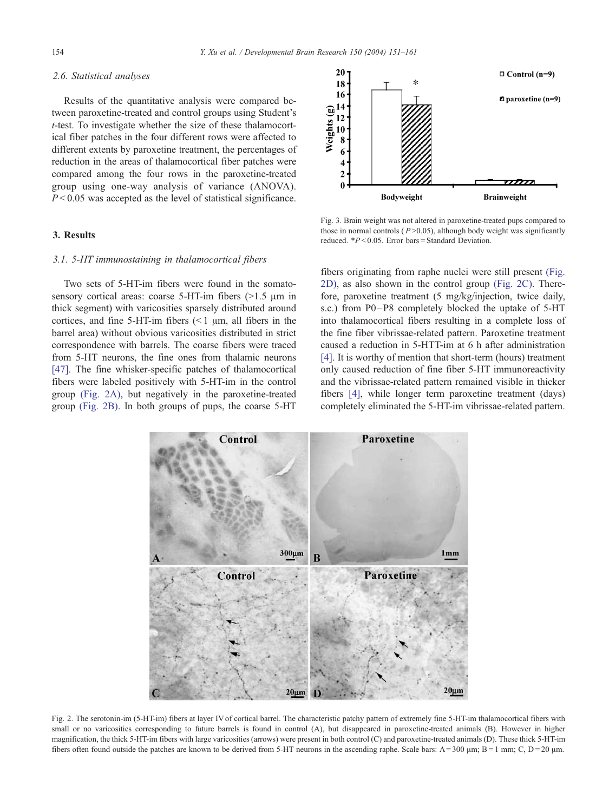# <span id="page-3-0"></span>2.6. Statistical analyses

Results of the quantitative analysis were compared between paroxetine-treated and control groups using Student's t-test. To investigate whether the size of these thalamocortical fiber patches in the four different rows were affected to different extents by paroxetine treatment, the percentages of reduction in the areas of thalamocortical fiber patches were compared among the four rows in the paroxetine-treated group using one-way analysis of variance (ANOVA).  $P < 0.05$  was accepted as the level of statistical significance.

# 3. Results

# 3.1. 5-HT immunostaining in thalamocortical fibers

Two sets of 5-HT-im fibers were found in the somatosensory cortical areas: coarse  $5-HT$ -im fibers ( $>1.5 \mu m$  in thick segment) with varicosities sparsely distributed around cortices, and fine 5-HT-im fibers  $\leq 1 \mu m$ , all fibers in the barrel area) without obvious varicosities distributed in strict correspondence with barrels. The coarse fibers were traced from 5-HT neurons, the fine ones from thalamic neurons [\[47\]](#page-10-0). The fine whisker-specific patches of thalamocortical fibers were labeled positively with 5-HT-im in the control group (Fig. 2A), but negatively in the paroxetine-treated group (Fig. 2B). In both groups of pups, the coarse 5-HT



Fig. 3. Brain weight was not altered in paroxetine-treated pups compared to those in normal controls ( $P > 0.05$ ), although body weight was significantly reduced.  $*P < 0.05$ . Error bars = Standard Deviation.

fibers originating from raphe nuclei were still present (Fig. 2D), as also shown in the control group (Fig. 2C). Therefore, paroxetine treatment (5 mg/kg/injection, twice daily, s.c.) from P0–P8 completely blocked the uptake of 5-HT into thalamocortical fibers resulting in a complete loss of the fine fiber vibrissae-related pattern. Paroxetine treatment caused a reduction in 5-HTT-im at 6 h after administration [\[4\].](#page-9-0) It is worthy of mention that short-term (hours) treatment only caused reduction of fine fiber 5-HT immunoreactivity and the vibrissae-related pattern remained visible in thicker fibers [\[4\],](#page-9-0) while longer term paroxetine treatment (days) completely eliminated the 5-HT-im vibrissae-related pattern.



Fig. 2. The serotonin-im (5-HT-im) fibers at layer IV of cortical barrel. The characteristic patchy pattern of extremely fine 5-HT-im thalamocortical fibers with small or no varicosities corresponding to future barrels is found in control (A), but disappeared in paroxetine-treated animals (B). However in higher magnification, the thick 5-HT-im fibers with large varicosities (arrows) were present in both control (C) and paroxetine-treated animals (D). These thick 5-HT-im fibers often found outside the patches are known to be derived from 5-HT neurons in the ascending raphe. Scale bars:  $A = 300 \mu m$ ;  $B = 1 \text{ mm}$ ; C,  $D = 20 \mu m$ .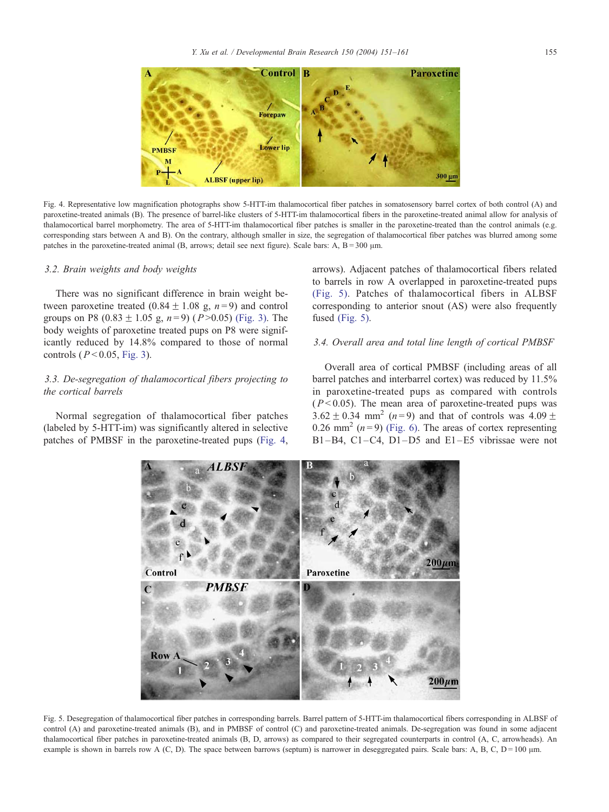

Fig. 4. Representative low magnification photographs show 5-HTT-im thalamocortical fiber patches in somatosensory barrel cortex of both control (A) and paroxetine-treated animals (B). The presence of barrel-like clusters of 5-HTT-im thalamocortical fibers in the paroxetine-treated animal allow for analysis of thalamocortical barrel morphometry. The area of 5-HTT-im thalamocortical fiber patches is smaller in the paroxetine-treated than the control animals (e.g. corresponding stars between A and B). On the contrary, although smaller in size, the segregation of thalamocortical fiber patches was blurred among some patches in the paroxetine-treated animal  $(B, \text{arrows}; \text{ detail see next figure})$ . Scale bars: A,  $B = 300 \mu \text{m}$ .

#### 3.2. Brain weights and body weights

There was no significant difference in brain weight between paroxetine treated  $(0.84 \pm 1.08 \text{ g}, n = 9)$  and control groups on P8 (0.83  $\pm$  1.05 g, n = 9) (P > 0.05) [\(Fig. 3\).](#page-3-0) The body weights of paroxetine treated pups on P8 were significantly reduced by 14.8% compared to those of normal controls ( $P < 0.05$ , [Fig. 3\)](#page-3-0).

# 3.3. De-segregation of thalamocortical fibers projecting to the cortical barrels

Normal segregation of thalamocortical fiber patches (labeled by 5-HTT-im) was significantly altered in selective patches of PMBSF in the paroxetine-treated pups (Fig. 4, arrows). Adjacent patches of thalamocortical fibers related to barrels in row A overlapped in paroxetine-treated pups (Fig. 5). Patches of thalamocortical fibers in ALBSF corresponding to anterior snout (AS) were also frequently fused (Fig. 5).

## 3.4. Overall area and total line length of cortical PMBSF

Overall area of cortical PMBSF (including areas of all barrel patches and interbarrel cortex) was reduced by 11.5% in paroxetine-treated pups as compared with controls  $(P<0.05)$ . The mean area of paroxetine-treated pups was  $3.62 \pm 0.34$  mm<sup>2</sup> (n=9) and that of controls was  $4.09 \pm$ 0.26 mm<sup>2</sup> ( $n = 9$ ) [\(Fig. 6\).](#page-5-0) The areas of cortex representing B1-B4, C1-C4, D1-D5 and E1-E5 vibrissae were not



Fig. 5. Desegregation of thalamocortical fiber patches in corresponding barrels. Barrel pattern of 5-HTT-im thalamocortical fibers corresponding in ALBSF of control (A) and paroxetine-treated animals (B), and in PMBSF of control (C) and paroxetine-treated animals. De-segregation was found in some adjacent thalamocortical fiber patches in paroxetine-treated animals (B, D, arrows) as compared to their segregated counterparts in control (A, C, arrowheads). An example is shown in barrels row A (C, D). The space between barrows (septum) is narrower in deseggregated pairs. Scale bars: A, B, C,  $D = 100 \mu m$ .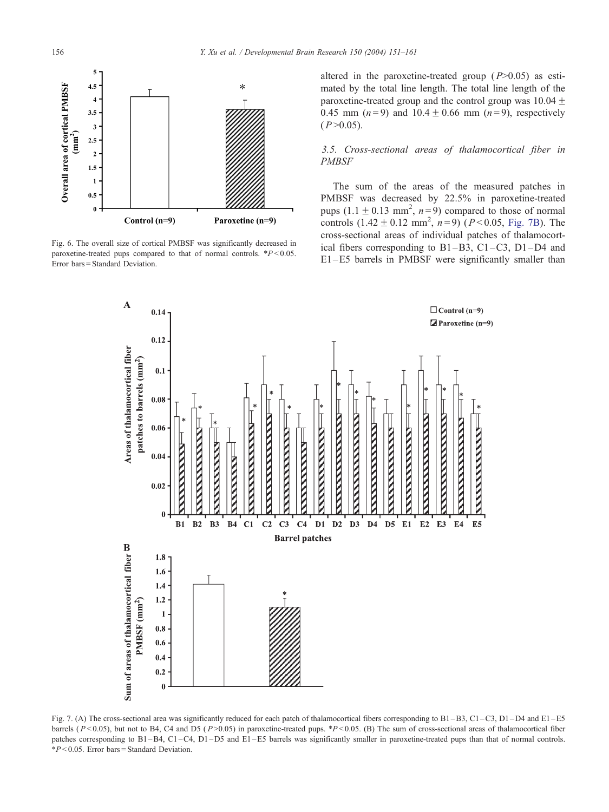<span id="page-5-0"></span>

Fig. 6. The overall size of cortical PMBSF was significantly decreased in paroxetine-treated pups compared to that of normal controls.  $*P < 0.05$ . Error bars = Standard Deviation.

altered in the paroxetine-treated group  $(P>0.05)$  as estimated by the total line length. The total line length of the paroxetine-treated group and the control group was  $10.04 \pm$ 0.45 mm  $(n=9)$  and  $10.4 \pm 0.66$  mm  $(n=9)$ , respectively  $(P > 0.05)$ .

# 3.5. Cross-sectional areas of thalamocortical fiber in PMBSF

The sum of the areas of the measured patches in PMBSF was decreased by 22.5% in paroxetine-treated pups  $(1.1 \pm 0.13 \text{ mm}^2, n=9)$  compared to those of normal controls  $(1.42 \pm 0.12 \text{ mm}^2, n=9)$   $(P<0.05, \text{Fig. 7B})$ . The cross-sectional areas of individual patches of thalamocortical fibers corresponding to  $B1-B3$ ,  $C1-C3$ ,  $D1-D4$  and E1 –E5 barrels in PMBSF were significantly smaller than



Fig. 7. (A) The cross-sectional area was significantly reduced for each patch of thalamocortical fibers corresponding to B1-B3, C1-C3, D1-D4 and E1-E5 barrels ( $P < 0.05$ ), but not to B4, C4 and D5 ( $P > 0.05$ ) in paroxetine-treated pups. \* $P < 0.05$ . (B) The sum of cross-sectional areas of thalamocortical fiber patches corresponding to B1 –B4, C1 –C4, D1 –D5 and E1 –E5 barrels was significantly smaller in paroxetine-treated pups than that of normal controls.  $*P < 0.05$ . Error bars = Standard Deviation.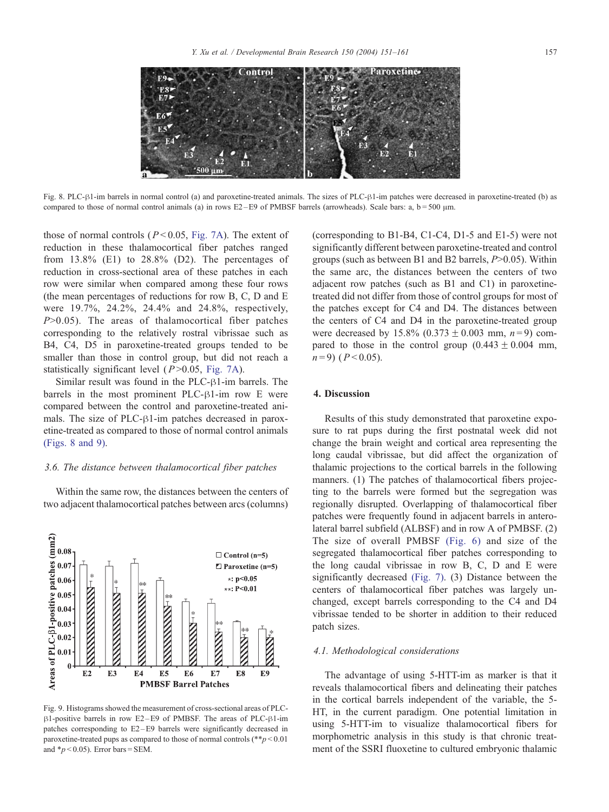

Fig. 8. PLC- $\beta$ 1-im barrels in normal control (a) and paroxetine-treated animals. The sizes of PLC- $\beta$ 1-im patches were decreased in paroxetine-treated (b) as compared to those of normal control animals (a) in rows E2-E9 of PMBSF barrels (arrowheads). Scale bars: a,  $b = 500 \mu m$ .

those of normal controls ( $P < 0.05$ , [Fig. 7A\)](#page-5-0). The extent of reduction in these thalamocortical fiber patches ranged from  $13.8\%$  (E1) to  $28.8\%$  (D2). The percentages of reduction in cross-sectional area of these patches in each row were similar when compared among these four rows (the mean percentages of reductions for row B, C, D and E were 19.7%, 24.2%, 24.4% and 24.8%, respectively,  $P>0.05$ ). The areas of thalamocortical fiber patches corresponding to the relatively rostral vibrissae such as B4, C4, D5 in paroxetine-treated groups tended to be smaller than those in control group, but did not reach a statistically significant level  $(P > 0.05, Fig. 7A)$  $(P > 0.05, Fig. 7A)$ .

Similar result was found in the  $PLC- $\beta$ 1-im {barrels.} The$ barrels in the most prominent PLC- $\beta$ 1-im row E were compared between the control and paroxetine-treated animals. The size of PLC- $\beta$ 1-im patches decreased in paroxetine-treated as compared to those of normal control animals (Figs. 8 and 9).

# 3.6. The distance between thalamocortical fiber patches

Within the same row, the distances between the centers of two adjacent thalamocortical patches between arcs (columns)



Fig. 9. Histograms showed the measurement of cross-sectional areas of PLC- $\beta$ 1-positive barrels in row E2-E9 of PMBSF. The areas of PLC- $\beta$ 1-im patches corresponding to E2 – E9 barrels were significantly decreased in paroxetine-treated pups as compared to those of normal controls  $(**p < 0.01]$ and  $\frac{*}{p}$  < 0.05). Error bars = SEM.

(corresponding to B1-B4, C1-C4, D1-5 and E1-5) were not significantly different between paroxetine-treated and control groups (such as between B1 and B2 barrels, P>0.05). Within the same arc, the distances between the centers of two adjacent row patches (such as B1 and C1) in paroxetinetreated did not differ from those of control groups for most of the patches except for C4 and D4. The distances between the centers of C4 and D4 in the paroxetine-treated group were decreased by  $15.8\%$  (0.373  $\pm$  0.003 mm, n=9) compared to those in the control group  $(0.443 \pm 0.004$  mm,  $n = 9$ ) ( $P < 0.05$ ).

## 4. Discussion

Results of this study demonstrated that paroxetine exposure to rat pups during the first postnatal week did not change the brain weight and cortical area representing the long caudal vibrissae, but did affect the organization of thalamic projections to the cortical barrels in the following manners. (1) The patches of thalamocortical fibers projecting to the barrels were formed but the segregation was regionally disrupted. Overlapping of thalamocortical fiber patches were frequently found in adjacent barrels in anterolateral barrel subfield (ALBSF) and in row A of PMBSF. (2) The size of overall PMBSF [\(Fig. 6\)](#page-5-0) and size of the segregated thalamocortical fiber patches corresponding to the long caudal vibrissae in row B, C, D and E were significantly decreased [\(Fig. 7\).](#page-5-0) (3) Distance between the centers of thalamocortical fiber patches was largely unchanged, except barrels corresponding to the C4 and D4 vibrissae tended to be shorter in addition to their reduced patch sizes.

# 4.1. Methodological considerations

The advantage of using 5-HTT-im as marker is that it reveals thalamocortical fibers and delineating their patches in the cortical barrels independent of the variable, the 5- HT, in the current paradigm. One potential limitation in using 5-HTT-im to visualize thalamocortical fibers for morphometric analysis in this study is that chronic treatment of the SSRI fluoxetine to cultured embryonic thalamic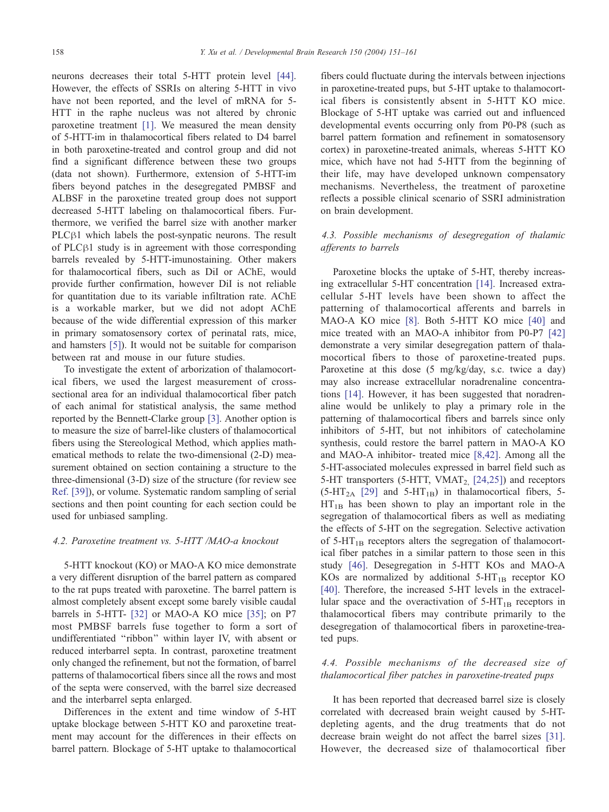neurons decreases their total 5-HTT protein level [\[44\].](#page-10-0) However, the effects of SSRIs on altering 5-HTT in vivo have not been reported, and the level of mRNA for 5-HTT in the raphe nucleus was not altered by chronic paroxetine treatment [\[1\].](#page-8-0) We measured the mean density of 5-HTT-im in thalamocortical fibers related to D4 barrel in both paroxetine-treated and control group and did not find a significant difference between these two groups (data not shown). Furthermore, extension of 5-HTT-im fibers beyond patches in the desegregated PMBSF and ALBSF in the paroxetine treated group does not support decreased 5-HTT labeling on thalamocortical fibers. Furthermore, we verified the barrel size with another marker PLC<sub>B1</sub> which labels the post-synpatic neurons. The result of PLC $\beta$ 1 study is in agreement with those corresponding barrels revealed by 5-HTT-imunostaining. Other makers for thalamocortical fibers, such as DiI or AChE, would provide further confirmation, however DiI is not reliable for quantitation due to its variable infiltration rate. AChE is a workable marker, but we did not adopt AChE because of the wide differential expression of this marker in primary somatosensory cortex of perinatal rats, mice, and hamsters [\[5\]\)](#page-9-0). It would not be suitable for comparison between rat and mouse in our future studies.

To investigate the extent of arborization of thalamocortical fibers, we used the largest measurement of crosssectional area for an individual thalamocortical fiber patch of each animal for statistical analysis, the same method reported by the Bennett-Clarke group [\[3\].](#page-8-0) Another option is to measure the size of barrel-like clusters of thalamocortical fibers using the Stereological Method, which applies mathematical methods to relate the two-dimensional (2-D) measurement obtained on section containing a structure to the three-dimensional (3-D) size of the structure (for review see [Ref. \[39\]\)](#page-9-0), or volume. Systematic random sampling of serial sections and then point counting for each section could be used for unbiased sampling.

## 4.2. Paroxetine treatment vs. 5-HTT /MAO-a knockout

5-HTT knockout (KO) or MAO-A KO mice demonstrate a very different disruption of the barrel pattern as compared to the rat pups treated with paroxetine. The barrel pattern is almost completely absent except some barely visible caudal barrels in 5-HTT- [\[32\]](#page-9-0) or MAO-A KO mice [\[35\];](#page-9-0) on P7 most PMBSF barrels fuse together to form a sort of undifferentiated ''ribbon'' within layer IV, with absent or reduced interbarrel septa. In contrast, paroxetine treatment only changed the refinement, but not the formation, of barrel patterns of thalamocortical fibers since all the rows and most of the septa were conserved, with the barrel size decreased and the interbarrel septa enlarged.

Differences in the extent and time window of 5-HT uptake blockage between 5-HTT KO and paroxetine treatment may account for the differences in their effects on barrel pattern. Blockage of 5-HT uptake to thalamocortical fibers could fluctuate during the intervals between injections in paroxetine-treated pups, but 5-HT uptake to thalamocortical fibers is consistently absent in 5-HTT KO mice. Blockage of 5-HT uptake was carried out and influenced developmental events occurring only from P0-P8 (such as barrel pattern formation and refinement in somatosensory cortex) in paroxetine-treated animals, whereas 5-HTT KO mice, which have not had 5-HTT from the beginning of their life, may have developed unknown compensatory mechanisms. Nevertheless, the treatment of paroxetine reflects a possible clinical scenario of SSRI administration on brain development.

# 4.3. Possible mechanisms of desegregation of thalamic afferents to barrels

Paroxetine blocks the uptake of 5-HT, thereby increasing extracellular 5-HT concentration [\[14\].](#page-9-0) Increased extracellular 5-HT levels have been shown to affect the patterning of thalamocortical afferents and barrels in MAO-A KO mice [\[8\].](#page-9-0) Both 5-HTT KO mice [\[40\]](#page-9-0) and mice treated with an MAO-A inhibitor from P0-P7 [\[42\]](#page-9-0) demonstrate a very similar desegregation pattern of thalamocortical fibers to those of paroxetine-treated pups. Paroxetine at this dose (5 mg/kg/day, s.c. twice a day) may also increase extracellular noradrenaline concentrations [\[14\].](#page-9-0) However, it has been suggested that noradrenaline would be unlikely to play a primary role in the patterning of thalamocortical fibers and barrels since only inhibitors of 5-HT, but not inhibitors of catecholamine synthesis, could restore the barrel pattern in MAO-A KO and MAO-A inhibitor- treated mice [\[8,42\].](#page-9-0) Among all the 5-HT-associated molecules expressed in barrel field such as 5-HT transporters  $(5-HTT, VMAT<sub>2</sub>, [24,25])$  $(5-HTT, VMAT<sub>2</sub>, [24,25])$  and receptors  $(5-HT_{2A}$  [\[29\]](#page-9-0) and  $5-HT_{1B}$ ) in thalamocortical fibers, 5- $HT_{1B}$  has been shown to play an important role in the segregation of thalamocortical fibers as well as mediating the effects of 5-HT on the segregation. Selective activation of  $5-HT_{1B}$  receptors alters the segregation of thalamocortical fiber patches in a similar pattern to those seen in this study [\[46\].](#page-10-0) Desegregation in 5-HTT KOs and MAO-A KOs are normalized by additional  $5-HT_{1B}$  receptor KO [\[40\].](#page-9-0) Therefore, the increased 5-HT levels in the extracellular space and the overactivation of  $5-HT_{1B}$  receptors in thalamocortical fibers may contribute primarily to the desegregation of thalamocortical fibers in paroxetine-treated pups.

# 4.4. Possible mechanisms of the decreased size of thalamocortical fiber patches in paroxetine-treated pups

It has been reported that decreased barrel size is closely correlated with decreased brain weight caused by 5-HTdepleting agents, and the drug treatments that do not decrease brain weight do not affect the barrel sizes [\[31\].](#page-9-0) However, the decreased size of thalamocortical fiber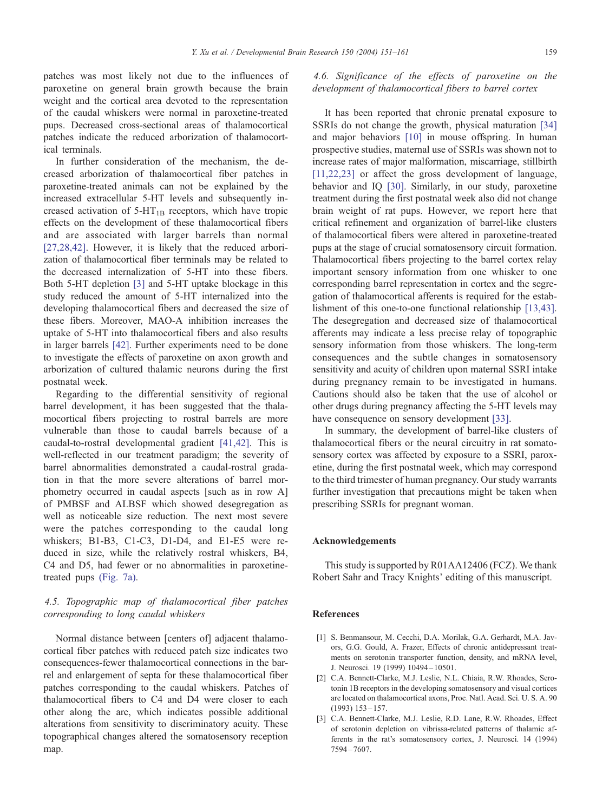<span id="page-8-0"></span>patches was most likely not due to the influences of paroxetine on general brain growth because the brain weight and the cortical area devoted to the representation of the caudal whiskers were normal in paroxetine-treated pups. Decreased cross-sectional areas of thalamocortical patches indicate the reduced arborization of thalamocortical terminals.

In further consideration of the mechanism, the decreased arborization of thalamocortical fiber patches in paroxetine-treated animals can not be explained by the increased extracellular 5-HT levels and subsequently increased activation of  $5-HT_{1B}$  receptors, which have tropic effects on the development of these thalamocortical fibers and are associated with larger barrels than normal [\[27,28,42\].](#page-9-0) However, it is likely that the reduced arborization of thalamocortical fiber terminals may be related to the decreased internalization of 5-HT into these fibers. Both 5-HT depletion [3] and 5-HT uptake blockage in this study reduced the amount of 5-HT internalized into the developing thalamocortical fibers and decreased the size of these fibers. Moreover, MAO-A inhibition increases the uptake of 5-HT into thalamocortical fibers and also results in larger barrels [\[42\].](#page-9-0) Further experiments need to be done to investigate the effects of paroxetine on axon growth and arborization of cultured thalamic neurons during the first postnatal week.

Regarding to the differential sensitivity of regional barrel development, it has been suggested that the thalamocortical fibers projecting to rostral barrels are more vulnerable than those to caudal barrels because of a caudal-to-rostral developmental gradient [\[41,42\].](#page-9-0) This is well-reflected in our treatment paradigm; the severity of barrel abnormalities demonstrated a caudal-rostral gradation in that the more severe alterations of barrel morphometry occurred in caudal aspects [such as in row A] of PMBSF and ALBSF which showed desegregation as well as noticeable size reduction. The next most severe were the patches corresponding to the caudal long whiskers; B1-B3, C1-C3, D1-D4, and E1-E5 were reduced in size, while the relatively rostral whiskers, B4, C4 and D5, had fewer or no abnormalities in paroxetinetreated pups [\(Fig. 7a\).](#page-5-0)

# 4.5. Topographic map of thalamocortical fiber patches corresponding to long caudal whiskers

Normal distance between [centers of] adjacent thalamocortical fiber patches with reduced patch size indicates two consequences-fewer thalamocortical connections in the barrel and enlargement of septa for these thalamocortical fiber patches corresponding to the caudal whiskers. Patches of thalamocortical fibers to C4 and D4 were closer to each other along the arc, which indicates possible additional alterations from sensitivity to discriminatory acuity. These topographical changes altered the somatosensory reception map.

# 4.6. Significance of the effects of paroxetine on the development of thalamocortical fibers to barrel cortex

It has been reported that chronic prenatal exposure to SSRIs do not change the growth, physical maturation [\[34\]](#page-9-0) and major behaviors [\[10\]](#page-9-0) in mouse offspring. In human prospective studies, maternal use of SSRIs was shown not to increase rates of major malformation, miscarriage, stillbirth [\[11,22,23\]](#page-9-0) or affect the gross development of language, behavior and IQ [\[30\].](#page-9-0) Similarly, in our study, paroxetine treatment during the first postnatal week also did not change brain weight of rat pups. However, we report here that critical refinement and organization of barrel-like clusters of thalamocortical fibers were altered in paroxetine-treated pups at the stage of crucial somatosensory circuit formation. Thalamocortical fibers projecting to the barrel cortex relay important sensory information from one whisker to one corresponding barrel representation in cortex and the segregation of thalamocortical afferents is required for the establishment of this one-to-one functional relationship [\[13,43\].](#page-9-0) The desegregation and decreased size of thalamocortical afferents may indicate a less precise relay of topographic sensory information from those whiskers. The long-term consequences and the subtle changes in somatosensory sensitivity and acuity of children upon maternal SSRI intake during pregnancy remain to be investigated in humans. Cautions should also be taken that the use of alcohol or other drugs during pregnancy affecting the 5-HT levels may have consequence on sensory development [\[33\].](#page-9-0)

In summary, the development of barrel-like clusters of thalamocortical fibers or the neural circuitry in rat somatosensory cortex was affected by exposure to a SSRI, paroxetine, during the first postnatal week, which may correspond to the third trimester of human pregnancy. Our study warrants further investigation that precautions might be taken when prescribing SSRIs for pregnant woman.

# Acknowledgements

This study is supported by R01AA12406 (FCZ). We thank Robert Sahr and Tracy Knights' editing of this manuscript.

#### References

- [1] S. Benmansour, M. Cecchi, D.A. Morilak, G.A. Gerhardt, M.A. Javors, G.G. Gould, A. Frazer, Effects of chronic antidepressant treatments on serotonin transporter function, density, and mRNA level, J. Neurosci. 19 (1999) 10494 – 10501.
- [2] C.A. Bennett-Clarke, M.J. Leslie, N.L. Chiaia, R.W. Rhoades, Serotonin 1B receptors in the developing somatosensory and visual cortices are located on thalamocortical axons, Proc. Natl. Acad. Sci. U. S. A. 90 (1993) 153 – 157.
- [3] C.A. Bennett-Clarke, M.J. Leslie, R.D. Lane, R.W. Rhoades, Effect of serotonin depletion on vibrissa-related patterns of thalamic afferents in the rat's somatosensory cortex, J. Neurosci. 14 (1994) 7594 – 7607.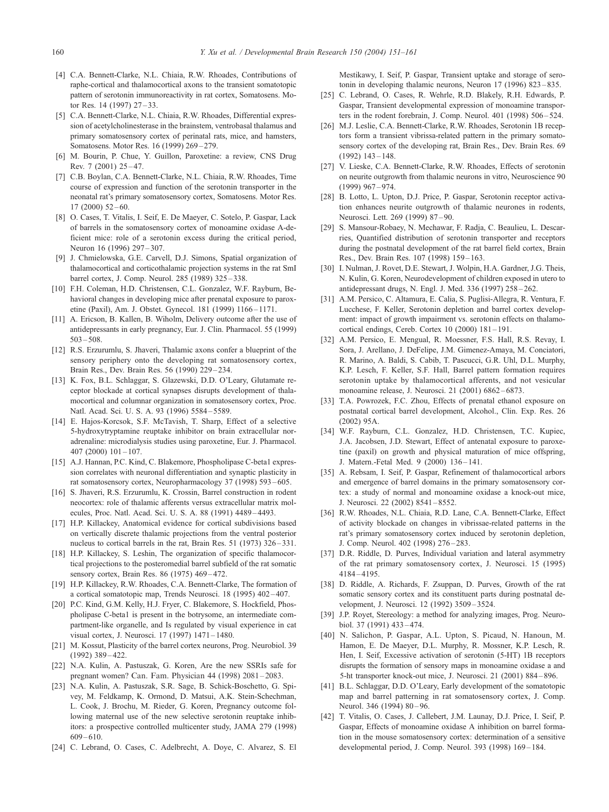- <span id="page-9-0"></span>[4] C.A. Bennett-Clarke, N.L. Chiaia, R.W. Rhoades, Contributions of raphe-cortical and thalamocortical axons to the transient somatotopic pattern of serotonin immunoreactivity in rat cortex, Somatosens. Motor Res.  $14$  (1997)  $27 - 33$ .
- [5] C.A. Bennett-Clarke, N.L. Chiaia, R.W. Rhoades, Differential expression of acetylcholinesterase in the brainstem, ventrobasal thalamus and primary somatosensory cortex of perinatal rats, mice, and hamsters, Somatosens. Motor Res. 16 (1999) 269 – 279.
- [6] M. Bourin, P. Chue, Y. Guillon, Paroxetine: a review, CNS Drug Rev. 7 (2001) 25 – 47.
- [7] C.B. Boylan, C.A. Bennett-Clarke, N.L. Chiaia, R.W. Rhoades, Time course of expression and function of the serotonin transporter in the neonatal rat's primary somatosensory cortex, Somatosens. Motor Res.  $17(2000)$   $52-60$ .
- [8] O. Cases, T. Vitalis, I. Seif, E. De Maeyer, C. Sotelo, P. Gaspar, Lack of barrels in the somatosensory cortex of monoamine oxidase A-deficient mice: role of a serotonin excess during the critical period, Neuron 16 (1996) 297-307.
- [9] J. Chmielowska, G.E. Carvell, D.J. Simons, Spatial organization of thalamocortical and corticothalamic projection systems in the rat SmI barrel cortex, J. Comp. Neurol. 285 (1989) 325 – 338.
- [10] F.H. Coleman, H.D. Christensen, C.L. Gonzalez, W.F. Rayburn, Behavioral changes in developing mice after prenatal exposure to paroxetine (Paxil), Am. J. Obstet. Gynecol. 181 (1999) 1166 – 1171.
- [11] A. Ericson, B. Kallen, B. Wiholm, Delivery outcome after the use of antidepressants in early pregnancy, Eur. J. Clin. Pharmacol. 55 (1999)  $503 - 508$ .
- [12] R.S. Erzurumlu, S. Jhaveri, Thalamic axons confer a blueprint of the sensory periphery onto the developing rat somatosensory cortex, Brain Res., Dev. Brain Res. 56 (1990) 229 – 234.
- [13] K. Fox, B.L. Schlaggar, S. Glazewski, D.D. O'Leary, Glutamate receptor blockade at cortical synapses disrupts development of thalamocortical and columnar organization in somatosensory cortex, Proc. Natl. Acad. Sci. U. S. A. 93 (1996) 5584 – 5589.
- [14] E. Hajos-Korcsok, S.F. McTavish, T. Sharp, Effect of a selective 5-hydroxytryptamine reuptake inhibitor on brain extracellular noradrenaline: microdialysis studies using paroxetine, Eur. J. Pharmacol.  $407(2000)101 - 107.$
- [15] A.J. Hannan, P.C. Kind, C. Blakemore, Phospholipase C-beta1 expression correlates with neuronal differentiation and synaptic plasticity in rat somatosensory cortex, Neuropharmacology 37 (1998) 593 – 605.
- [16] S. Jhaveri, R.S. Erzurumlu, K. Crossin, Barrel construction in rodent neocortex: role of thalamic afferents versus extracellular matrix molecules, Proc. Natl. Acad. Sci. U. S. A. 88 (1991) 4489 – 4493.
- [17] H.P. Killackey, Anatomical evidence for cortical subdivisions based on vertically discrete thalamic projections from the ventral posterior nucleus to cortical barrels in the rat, Brain Res. 51 (1973) 326–331.
- [18] H.P. Killackey, S. Leshin, The organization of specific thalamocortical projections to the posteromedial barrel subfield of the rat somatic sensory cortex, Brain Res. 86 (1975) 469-472.
- [19] H.P. Killackey, R.W. Rhoades, C.A. Bennett-Clarke, The formation of a cortical somatotopic map, Trends Neurosci. 18 (1995) 402 – 407.
- [20] P.C. Kind, G.M. Kelly, H.J. Fryer, C. Blakemore, S. Hockfield, Phospholipase C-beta1 is present in the botrysome, an intermediate compartment-like organelle, and Is regulated by visual experience in cat visual cortex, J. Neurosci. 17 (1997) 1471 – 1480.
- [21] M. Kossut, Plasticity of the barrel cortex neurons, Prog. Neurobiol. 39 (1992) 389 – 422.
- [22] N.A. Kulin, A. Pastuszak, G. Koren, Are the new SSRIs safe for pregnant women? Can. Fam. Physician 44 (1998) 2081 – 2083.
- [23] N.A. Kulin, A. Pastuszak, S.R. Sage, B. Schick-Boschetto, G. Spivey, M. Feldkamp, K. Ormond, D. Matsui, A.K. Stein-Schechman, L. Cook, J. Brochu, M. Rieder, G. Koren, Pregnancy outcome following maternal use of the new selective serotonin reuptake inhibitors: a prospective controlled multicenter study, JAMA 279 (1998) 609 – 610.
- [24] C. Lebrand, O. Cases, C. Adelbrecht, A. Doye, C. Alvarez, S. El

Mestikawy, I. Seif, P. Gaspar, Transient uptake and storage of serotonin in developing thalamic neurons, Neuron 17 (1996) 823–835.

- [25] C. Lebrand, O. Cases, R. Wehrle, R.D. Blakely, R.H. Edwards, P. Gaspar, Transient developmental expression of monoamine transporters in the rodent forebrain, J. Comp. Neurol. 401 (1998) 506-524.
- [26] M.J. Leslie, C.A. Bennett-Clarke, R.W. Rhoades, Serotonin 1B receptors form a transient vibrissa-related pattern in the primary somatosensory cortex of the developing rat, Brain Res., Dev. Brain Res. 69  $(1992)$  143 – 148.
- [27] V. Lieske, C.A. Bennett-Clarke, R.W. Rhoades, Effects of serotonin on neurite outgrowth from thalamic neurons in vitro, Neuroscience 90 (1999) 967 – 974.
- [28] B. Lotto, L. Upton, D.J. Price, P. Gaspar, Serotonin receptor activation enhances neurite outgrowth of thalamic neurones in rodents, Neurosci. Lett. 269 (1999) 87-90.
- [29] S. Mansour-Robaey, N. Mechawar, F. Radja, C. Beaulieu, L. Descarries, Quantified distribution of serotonin transporter and receptors during the postnatal development of the rat barrel field cortex, Brain Res., Dev. Brain Res. 107 (1998) 159-163.
- [30] I. Nulman, J. Rovet, D.E. Stewart, J. Wolpin, H.A. Gardner, J.G. Theis, N. Kulin, G. Koren, Neurodevelopment of children exposed in utero to antidepressant drugs, N. Engl. J. Med. 336 (1997) 258 – 262.
- [31] A.M. Persico, C. Altamura, E. Calia, S. Puglisi-Allegra, R. Ventura, F. Lucchese, F. Keller, Serotonin depletion and barrel cortex development: impact of growth impairment vs. serotonin effects on thalamocortical endings, Cereb. Cortex 10 (2000) 181 – 191.
- [32] A.M. Persico, E. Mengual, R. Moessner, F.S. Hall, R.S. Revay, I. Sora, J. Arellano, J. DeFelipe, J.M. Gimenez-Amaya, M. Conciatori, R. Marino, A. Baldi, S. Cabib, T. Pascucci, G.R. Uhl, D.L. Murphy, K.P. Lesch, F. Keller, S.F. Hall, Barrel pattern formation requires serotonin uptake by thalamocortical afferents, and not vesicular monoamine release, J. Neurosci. 21 (2001) 6862 – 6873.
- [33] T.A. Powrozek, F.C. Zhou, Effects of prenatal ethanol exposure on postnatal cortical barrel development, Alcohol., Clin. Exp. Res. 26 (2002) 95A.
- [34] W.F. Rayburn, C.L. Gonzalez, H.D. Christensen, T.C. Kupiec, J.A. Jacobsen, J.D. Stewart, Effect of antenatal exposure to paroxetine (paxil) on growth and physical maturation of mice offspring, J. Matern.-Fetal Med. 9 (2000) 136 – 141.
- [35] A. Rebsam, I. Seif, P. Gaspar, Refinement of thalamocortical arbors and emergence of barrel domains in the primary somatosensory cortex: a study of normal and monoamine oxidase a knock-out mice, J. Neurosci. 22 (2002) 8541 – 8552.
- [36] R.W. Rhoades, N.L. Chiaia, R.D. Lane, C.A. Bennett-Clarke, Effect of activity blockade on changes in vibrissae-related patterns in the rat's primary somatosensory cortex induced by serotonin depletion, J. Comp. Neurol. 402 (1998) 276 – 283.
- [37] D.R. Riddle, D. Purves, Individual variation and lateral asymmetry of the rat primary somatosensory cortex, J. Neurosci. 15 (1995) 4184 – 4195.
- [38] D. Riddle, A. Richards, F. Zsuppan, D. Purves, Growth of the rat somatic sensory cortex and its constituent parts during postnatal development, J. Neurosci. 12 (1992) 3509 – 3524.
- [39] J.P. Royet, Stereology: a method for analyzing images, Prog. Neurobiol. 37 (1991) 433 – 474.
- [40] N. Salichon, P. Gaspar, A.L. Upton, S. Picaud, N. Hanoun, M. Hamon, E. De Maeyer, D.L. Murphy, R. Mossner, K.P. Lesch, R. Hen, I. Seif, Excessive activation of serotonin (5-HT) 1B receptors disrupts the formation of sensory maps in monoamine oxidase a and 5-ht transporter knock-out mice, J. Neurosci. 21 (2001) 884 – 896.
- [41] B.L. Schlaggar, D.D. O'Leary, Early development of the somatotopic map and barrel patterning in rat somatosensory cortex, J. Comp. Neurol. 346 (1994) 80-96.
- [42] T. Vitalis, O. Cases, J. Callebert, J.M. Launay, D.J. Price, I. Seif, P. Gaspar, Effects of monoamine oxidase A inhibition on barrel formation in the mouse somatosensory cortex: determination of a sensitive developmental period, J. Comp. Neurol. 393 (1998) 169-184.